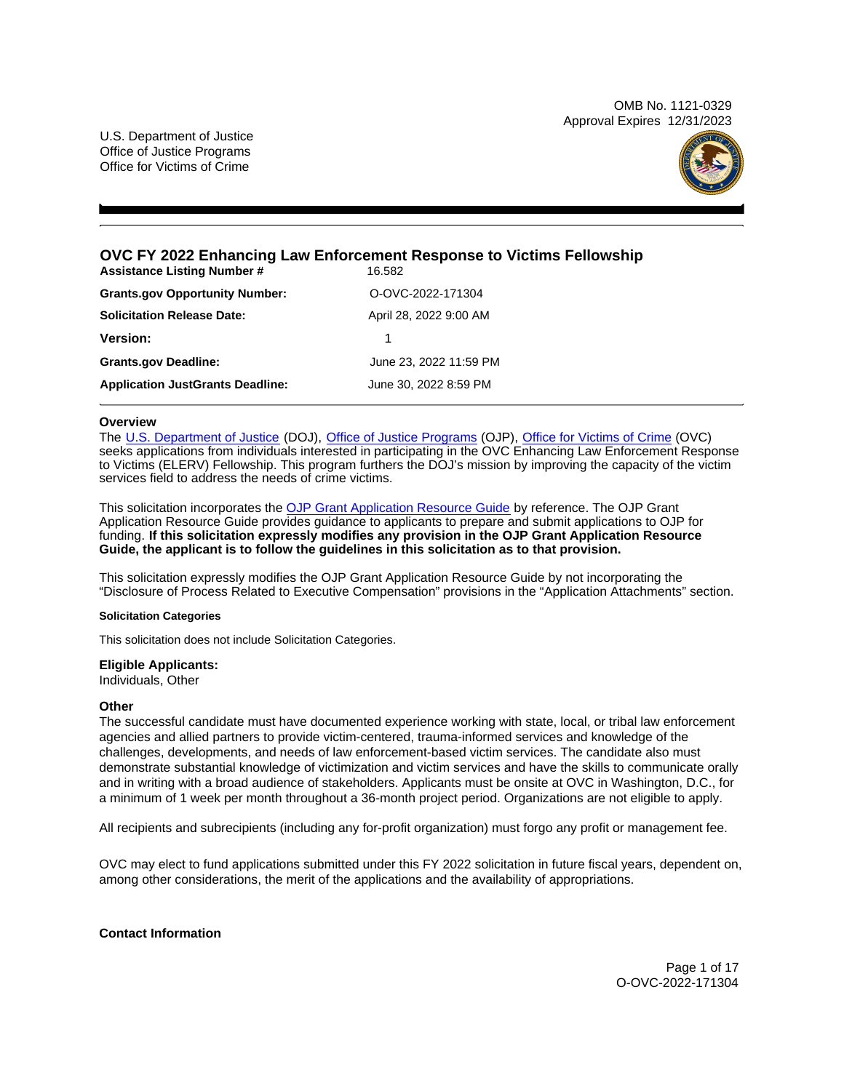OMB No. 1121-0329 Approval Expires 12/31/2023

<span id="page-0-0"></span>U.S. Department of Justice Office of Justice Programs Office for Victims of Crime



# **OVC FY 2022 Enhancing Law Enforcement Response to Victims Fellowship**

| <b>Assistance Listing Number #</b>      | 16.582                 |
|-----------------------------------------|------------------------|
| <b>Grants.gov Opportunity Number:</b>   | O-OVC-2022-171304      |
| <b>Solicitation Release Date:</b>       | April 28, 2022 9:00 AM |
| <b>Version:</b>                         | 1                      |
| <b>Grants.gov Deadline:</b>             | June 23, 2022 11:59 PM |
| <b>Application JustGrants Deadline:</b> | June 30, 2022 8:59 PM  |

# **Overview**

The [U.S. Department of Justice](https://www.usdoj.gov/) (DOJ), [Office of Justice Programs](https://www.ojp.usdoj.gov/) (OJP), [Office for Victims of Crime](https://ovc.ojp.gov/) (OVC) seeks applications from individuals interested in participating in the OVC Enhancing Law Enforcement Response to Victims (ELERV) Fellowship. This program furthers the DOJ's mission by improving the capacity of the victim services field to address the needs of crime victims.

This solicitation incorporates the [OJP Grant Application Resource Guide](https://www.ojp.gov/funding/Apply/Resources/Grant-App-Resource-Guide.htm) by reference. The OJP Grant Application Resource Guide provides guidance to applicants to prepare and submit applications to OJP for funding. **If this solicitation expressly modifies any provision in the OJP Grant Application Resource Guide, the applicant is to follow the guidelines in this solicitation as to that provision.** 

This solicitation expressly modifies the OJP Grant Application Resource Guide by not incorporating the "Disclosure of Process Related to Executive Compensation" provisions in the "Application Attachments" section.

### **Solicitation Categories**

This solicitation does not include Solicitation Categories.

### **Eligible Applicants:**

Individuals, Other

### **Other**

The successful candidate must have documented experience working with state, local, or tribal law enforcement agencies and allied partners to provide victim-centered, trauma-informed services and knowledge of the challenges, developments, and needs of law enforcement-based victim services. The candidate also must demonstrate substantial knowledge of victimization and victim services and have the skills to communicate orally and in writing with a broad audience of stakeholders. Applicants must be onsite at OVC in Washington, D.C., for a minimum of 1 week per month throughout a 36-month project period. Organizations are not eligible to apply.

All recipients and subrecipients (including any for-profit organization) must forgo any profit or management fee.

OVC may elect to fund applications submitted under this FY 2022 solicitation in future fiscal years, dependent on, among other considerations, the merit of the applications and the availability of appropriations.

**Contact Information** 

Page 1 of 17 O-OVC-2022-171304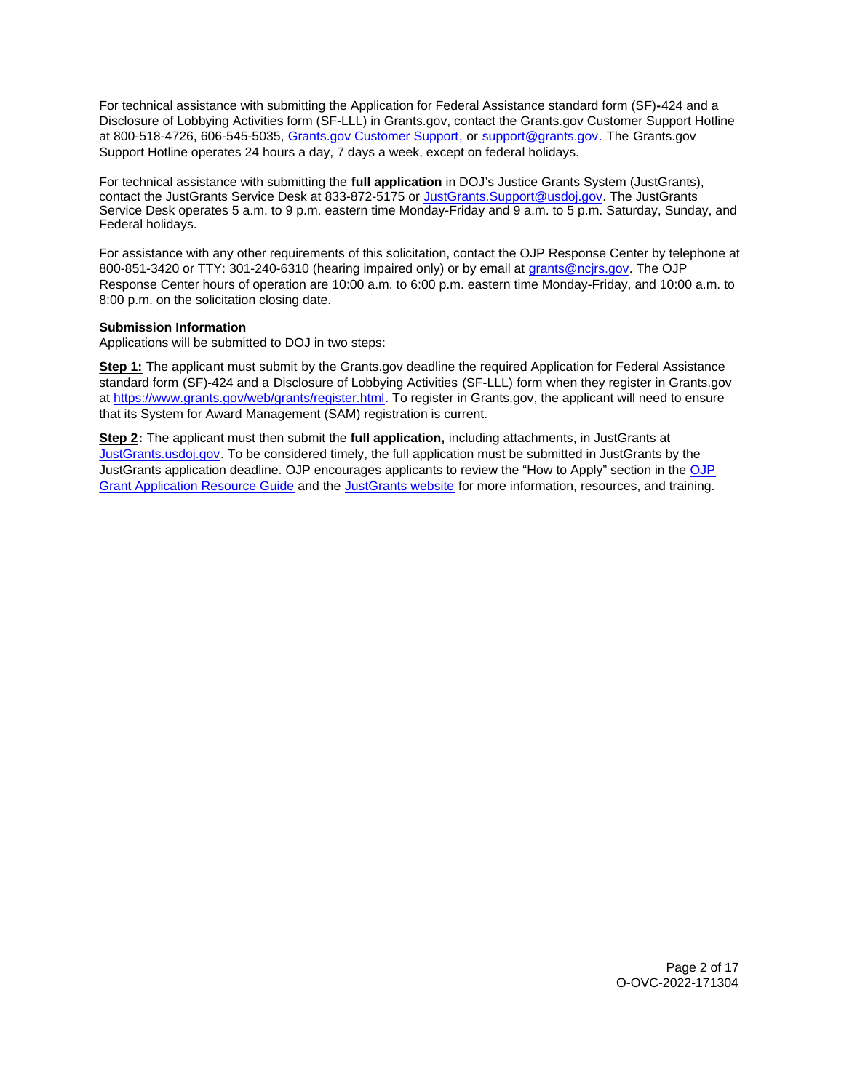For technical assistance with submitting the Application for Federal Assistance standard form (SF)**-**424 and a Disclosure of Lobbying Activities form (SF-LLL) in [Grants.gov](https://Grants.gov), contact the [Grants.gov](https://Grants.gov) Customer Support Hotline at 800-518-4726, 606-545-5035, [Grants.gov Customer Support,](https://www.grants.gov/web/grants/support.html) or [support@grants.gov.](mailto:support@grants.gov) The [Grants.gov](https://Grants.gov) Support Hotline operates 24 hours a day, 7 days a week, except on federal holidays.

For technical assistance with submitting the **full application** in DOJ's Justice Grants System (JustGrants), contact the JustGrants Service Desk at 833-872-5175 or [JustGrants.Support@usdoj.gov.](mailto:JustGrants.Support@usdoj.gov) The JustGrants Service Desk operates 5 a.m. to 9 p.m. eastern time Monday-Friday and 9 a.m. to 5 p.m. Saturday, Sunday, and Federal holidays.

For assistance with any other requirements of this solicitation, contact the OJP Response Center by telephone at 800-851-3420 or TTY: 301-240-6310 (hearing impaired only) or by email at [grants@ncjrs.gov.](mailto:grants@ncjrs.gov) The OJP Response Center hours of operation are 10:00 a.m. to 6:00 p.m. eastern time Monday-Friday, and 10:00 a.m. to 8:00 p.m. on the solicitation closing date.

# **Submission Information**

Applications will be submitted to DOJ in two steps:

**Step 1:** The applicant must submit by the [Grants.gov](https://Grants.gov) deadline the required Application for Federal Assistance standard form (SF)-424 and a Disclosure of Lobbying Activities (SF-LLL) form when they register in [Grants.gov](https://Grants.gov) at [https://www.grants.gov/web/grants/register.html.](https://www.grants.gov/web/grants/register.html) To register in [Grants.gov](https://Grants.gov), the applicant will need to ensure that its System for Award Management (SAM) registration is current.

**Step 2:** The applicant must then submit the **full application,** including attachments, in JustGrants at [JustGrants.usdoj.gov.](https://justicegrants.usdoj.gov/) To be considered timely, the full application must be submitted in JustGrants by the JustGrants application deadline. [OJP](https://www.ojp.gov/funding/apply/ojp-grant-application-resource-guide#apply) encourages applicants to review the "How to Apply" section in the OJP [Grant Application Resource Guide](https://www.ojp.gov/funding/apply/ojp-grant-application-resource-guide#apply) and the [JustGrants website](https://justicegrants.usdoj.gov/news) for more information, resources, and training.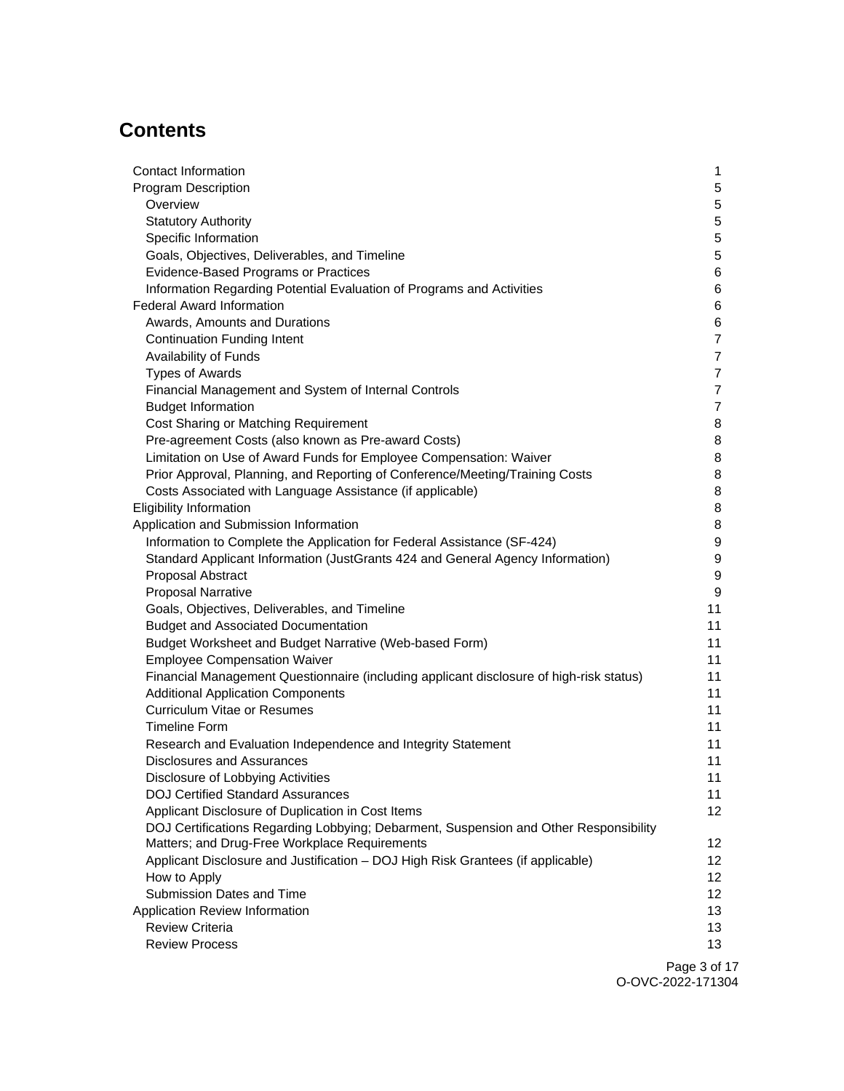# **Contents**

| Contact Information                                                                     | 1               |
|-----------------------------------------------------------------------------------------|-----------------|
| <b>Program Description</b>                                                              | 5               |
| Overview                                                                                | 5               |
| <b>Statutory Authority</b>                                                              | 5               |
| Specific Information                                                                    | 5               |
| Goals, Objectives, Deliverables, and Timeline                                           | 5               |
| Evidence-Based Programs or Practices                                                    | 6               |
| Information Regarding Potential Evaluation of Programs and Activities                   | 6               |
| <b>Federal Award Information</b>                                                        | 6               |
| Awards, Amounts and Durations                                                           | 6               |
| <b>Continuation Funding Intent</b>                                                      | $\overline{7}$  |
| Availability of Funds                                                                   | 7               |
| <b>Types of Awards</b>                                                                  | 7               |
| Financial Management and System of Internal Controls                                    | 7               |
| <b>Budget Information</b>                                                               | $\overline{7}$  |
| Cost Sharing or Matching Requirement                                                    | 8               |
| Pre-agreement Costs (also known as Pre-award Costs)                                     | 8               |
| Limitation on Use of Award Funds for Employee Compensation: Waiver                      | 8               |
| Prior Approval, Planning, and Reporting of Conference/Meeting/Training Costs            | 8               |
| Costs Associated with Language Assistance (if applicable)                               | 8               |
| <b>Eligibility Information</b>                                                          | 8               |
| Application and Submission Information                                                  | 8               |
| Information to Complete the Application for Federal Assistance (SF-424)                 | 9               |
| Standard Applicant Information (JustGrants 424 and General Agency Information)          | 9               |
| Proposal Abstract                                                                       | 9               |
| <b>Proposal Narrative</b>                                                               | 9               |
| Goals, Objectives, Deliverables, and Timeline                                           | 11              |
| <b>Budget and Associated Documentation</b>                                              | 11              |
| Budget Worksheet and Budget Narrative (Web-based Form)                                  | 11              |
| <b>Employee Compensation Waiver</b>                                                     | 11              |
| Financial Management Questionnaire (including applicant disclosure of high-risk status) | 11              |
| <b>Additional Application Components</b>                                                | 11              |
| <b>Curriculum Vitae or Resumes</b>                                                      | 11              |
| <b>Timeline Form</b>                                                                    | 11              |
| Research and Evaluation Independence and Integrity Statement                            | 11              |
| <b>Disclosures and Assurances</b>                                                       | 11              |
| Disclosure of Lobbying Activities                                                       | 11              |
| <b>DOJ Certified Standard Assurances</b>                                                | 11              |
| Applicant Disclosure of Duplication in Cost Items                                       | 12 <sup>2</sup> |
| DOJ Certifications Regarding Lobbying; Debarment, Suspension and Other Responsibility   |                 |
| Matters; and Drug-Free Workplace Requirements                                           | 12              |
| Applicant Disclosure and Justification - DOJ High Risk Grantees (if applicable)         | 12 <sub>2</sub> |
| How to Apply                                                                            | 12              |
| Submission Dates and Time                                                               | 12              |
| Application Review Information                                                          | 13              |
| <b>Review Criteria</b>                                                                  | 13              |
| <b>Review Process</b>                                                                   | 13              |
|                                                                                         | Page 3 of 1     |

Page 3 of 17 O-OVC-2022-171304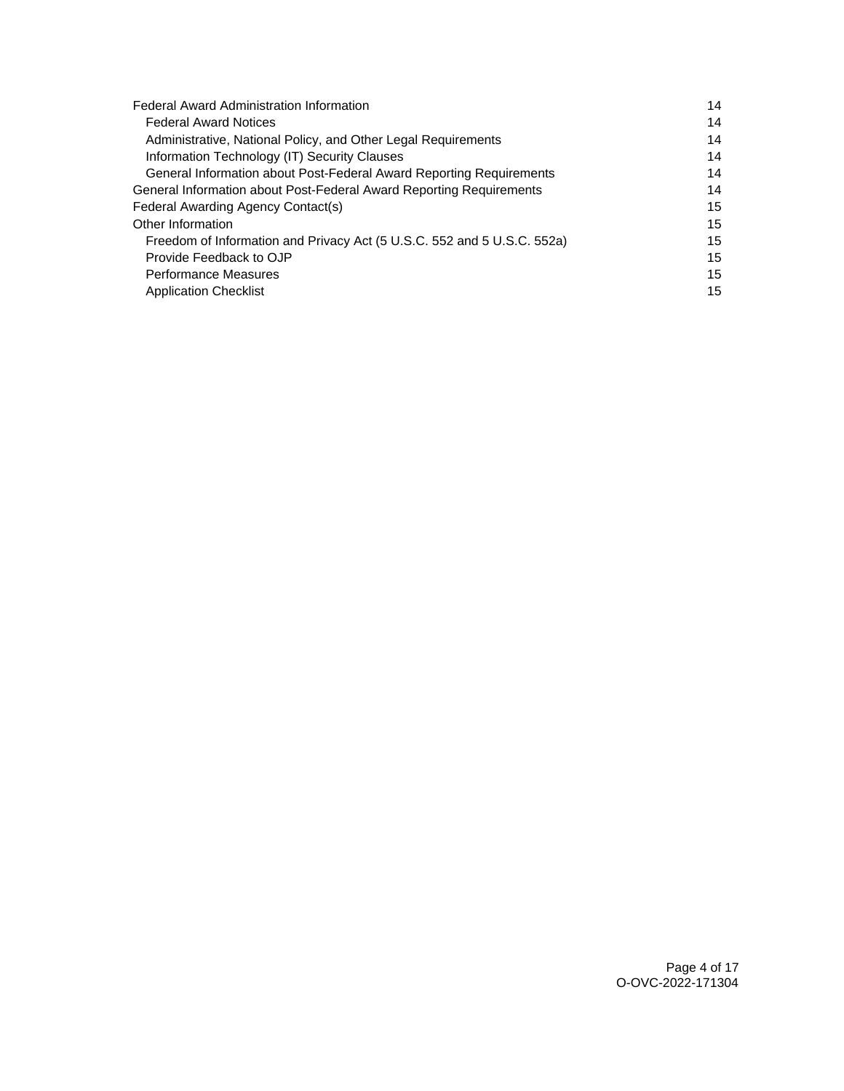| <b>Federal Award Administration Information</b>                         |    |
|-------------------------------------------------------------------------|----|
| <b>Federal Award Notices</b>                                            | 14 |
| Administrative, National Policy, and Other Legal Requirements           | 14 |
| Information Technology (IT) Security Clauses                            | 14 |
| General Information about Post-Federal Award Reporting Requirements     | 14 |
| General Information about Post-Federal Award Reporting Requirements     | 14 |
| Federal Awarding Agency Contact(s)                                      | 15 |
| Other Information                                                       | 15 |
| Freedom of Information and Privacy Act (5 U.S.C. 552 and 5 U.S.C. 552a) | 15 |
| Provide Feedback to OJP                                                 | 15 |
| <b>Performance Measures</b>                                             | 15 |
| <b>Application Checklist</b>                                            | 15 |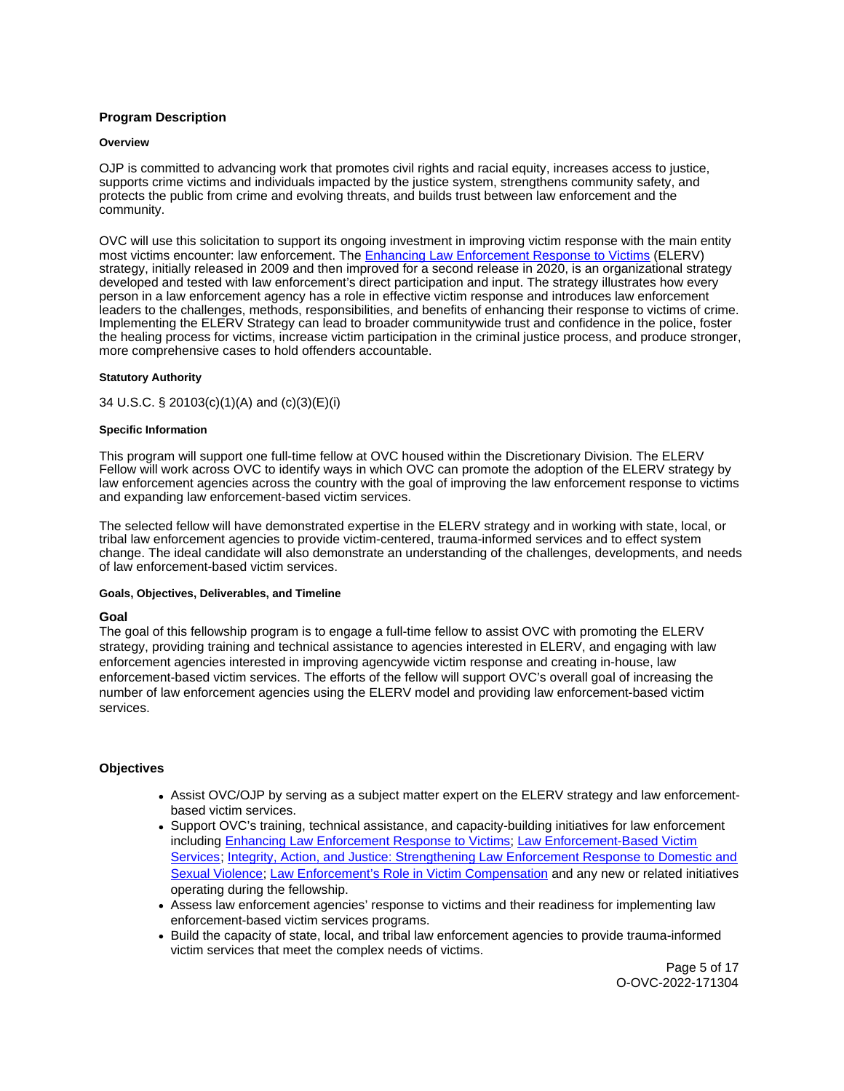# <span id="page-4-0"></span>**Program Description**

### **Overview**

OJP is committed to advancing work that promotes civil rights and racial equity, increases access to justice, supports crime victims and individuals impacted by the justice system, strengthens community safety, and protects the public from crime and evolving threats, and builds trust between law enforcement and the community.

OVC will use this solicitation to support its ongoing investment in improving victim response with the main entity most victims encounter: law enforcement. The [Enhancing Law Enforcement Response to Victims](https://www.theiacp.org/projects/enhancing-law-enforcement-response-to-victims-elerv) (ELERV) strategy, initially released in 2009 and then improved for a second release in 2020, is an organizational strategy developed and tested with law enforcement's direct participation and input. The strategy illustrates how every person in a law enforcement agency has a role in effective victim response and introduces law enforcement leaders to the challenges, methods, responsibilities, and benefits of enhancing their response to victims of crime. Implementing the ELERV Strategy can lead to broader communitywide trust and confidence in the police, foster the healing process for victims, increase victim participation in the criminal justice process, and produce stronger, more comprehensive cases to hold offenders accountable.

# **Statutory Authority**

# 34 U.S.C. § 20103(c)(1)(A) and (c)(3)(E)(i)

# **Specific Information**

This program will support one full-time fellow at OVC housed within the Discretionary Division. The ELERV Fellow will work across OVC to identify ways in which OVC can promote the adoption of the ELERV strategy by law enforcement agencies across the country with the goal of improving the law enforcement response to victims and expanding law enforcement-based victim services.

The selected fellow will have demonstrated expertise in the ELERV strategy and in working with state, local, or tribal law enforcement agencies to provide victim-centered, trauma-informed services and to effect system change. The ideal candidate will also demonstrate an understanding of the challenges, developments, and needs of law enforcement-based victim services.

### **Goals, Objectives, Deliverables, and Timeline**

### **Goal**

The goal of this fellowship program is to engage a full-time fellow to assist OVC with promoting the ELERV strategy, providing training and technical assistance to agencies interested in ELERV, and engaging with law enforcement agencies interested in improving agencywide victim response and creating in-house, law enforcement-based victim services. The efforts of the fellow will support OVC's overall goal of increasing the number of law enforcement agencies using the ELERV model and providing law enforcement-based victim services.

# **Objectives**

- Assist OVC/OJP by serving as a subject matter expert on the ELERV strategy and law enforcementbased victim services.
- Support OVC's training, technical assistance, and capacity-building initiatives for law enforcement including [Enhancing Law Enforcement Response to Victims;](https://www.theiacp.org/projects/enhancing-law-enforcement-response-to-victims-elerv) [Law Enforcement-Based Victim](https://www.theiacp.org/projects/law-enforcement-based-victim-services-lev)  [Services;](https://www.theiacp.org/projects/law-enforcement-based-victim-services-lev) [Integrity, Action, and Justice: Strengthening Law Enforcement Response to Domestic and](https://www.theiacp.org/gender-bias)  [Sexual Violence;](https://www.theiacp.org/gender-bias) [Law Enforcement's Role in Victim Compensation](https://www.theiacp.org/LE-Role-in-Victim-Compensation) and any new or related initiatives operating during the fellowship.
- Assess law enforcement agencies' response to victims and their readiness for implementing law enforcement-based victim services programs.
- Build the capacity of state, local, and tribal law enforcement agencies to provide trauma-informed victim services that meet the complex needs of victims.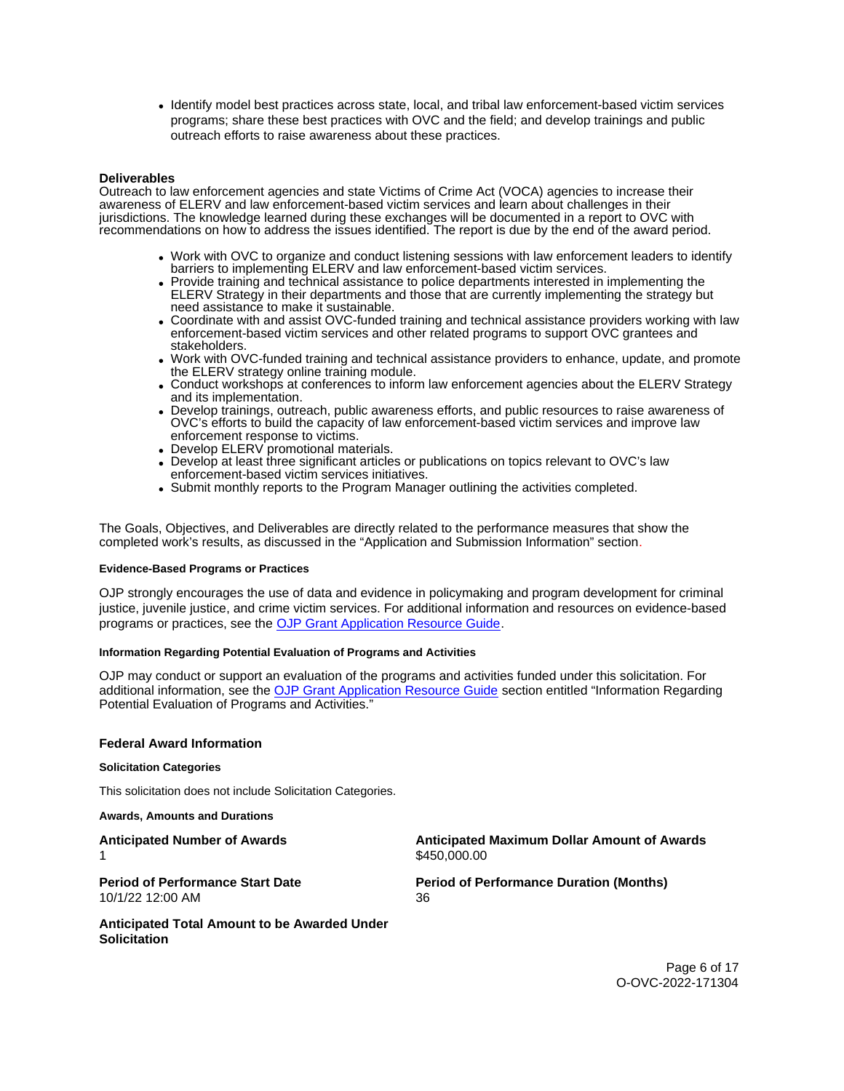<span id="page-5-0"></span>Identify model best practices across state, local, and tribal law enforcement-based victim services programs; share these best practices with OVC and the field; and develop trainings and public outreach efforts to raise awareness about these practices.

# **Deliverables**

Outreach to law enforcement agencies and state Victims of Crime Act (VOCA) agencies to increase their awareness of ELERV and law enforcement-based victim services and learn about challenges in their jurisdictions. The knowledge learned during these exchanges will be documented in a report to OVC with recommendations on how to address the issues identified. The report is due by the end of the award period.

- Work with OVC to organize and conduct listening sessions with law enforcement leaders to identify barriers to implementing ELERV and law enforcement-based victim services.
- Provide training and technical assistance to police departments interested in implementing the ELERV Strategy in their departments and those that are currently implementing the strategy but need assistance to make it sustainable.
- Coordinate with and assist OVC-funded training and technical assistance providers working with law enforcement-based victim services and other related programs to support OVC grantees and stakeholders.
- Work with OVC-funded training and technical assistance providers to enhance, update, and promote the ELERV strategy online training module.
- Conduct workshops at conferences to inform law enforcement agencies about the ELERV Strategy and its implementation.
- Develop trainings, outreach, public awareness efforts, and public resources to raise awareness of OVC's efforts to build the capacity of law enforcement-based victim services and improve law enforcement response to victims.
- Develop ELERV promotional materials.
- Develop at least three significant articles or publications on topics relevant to OVC's law enforcement-based victim services initiatives.
- Submit monthly reports to the Program Manager outlining the activities completed.

The Goals, Objectives, and Deliverables are directly related to the performance measures that show the completed work's results, as discussed in the "Application and Submission Information" section.

# **Evidence-Based Programs or Practices**

OJP strongly encourages the use of data and evidence in policymaking and program development for criminal justice, juvenile justice, and crime victim services. For additional information and resources on evidence-based programs or practices, see the [OJP Grant Application Resource Guide.](https://www.ojp.gov/funding/apply/ojp-grant-application-resource-guide#evidence-based)

# **Information Regarding Potential Evaluation of Programs and Activities**

OJP may conduct or support an evaluation of the programs and activities funded under this solicitation. For additional information, see the [OJP Grant Application Resource Guide](https://www.ojp.gov/funding/apply/ojp-grant-application-resource-guide#potential-evaluation) section entitled "Information Regarding Potential Evaluation of Programs and Activities."

# **Federal Award Information**

### **Solicitation Categories**

This solicitation does not include Solicitation Categories.

**Awards, Amounts and Durations** 

**Anticipated Number of Awards Anticipated Maximum Dollar Amount of Awards**  \$450,000.00 **Period of Performance Start Date Period of Performance Duration (Months)**  10/1/22 12:00 AM 36 **Anticipated Total Amount to be Awarded Under Solicitation** 

> Page 6 of 17 O-OVC-2022-171304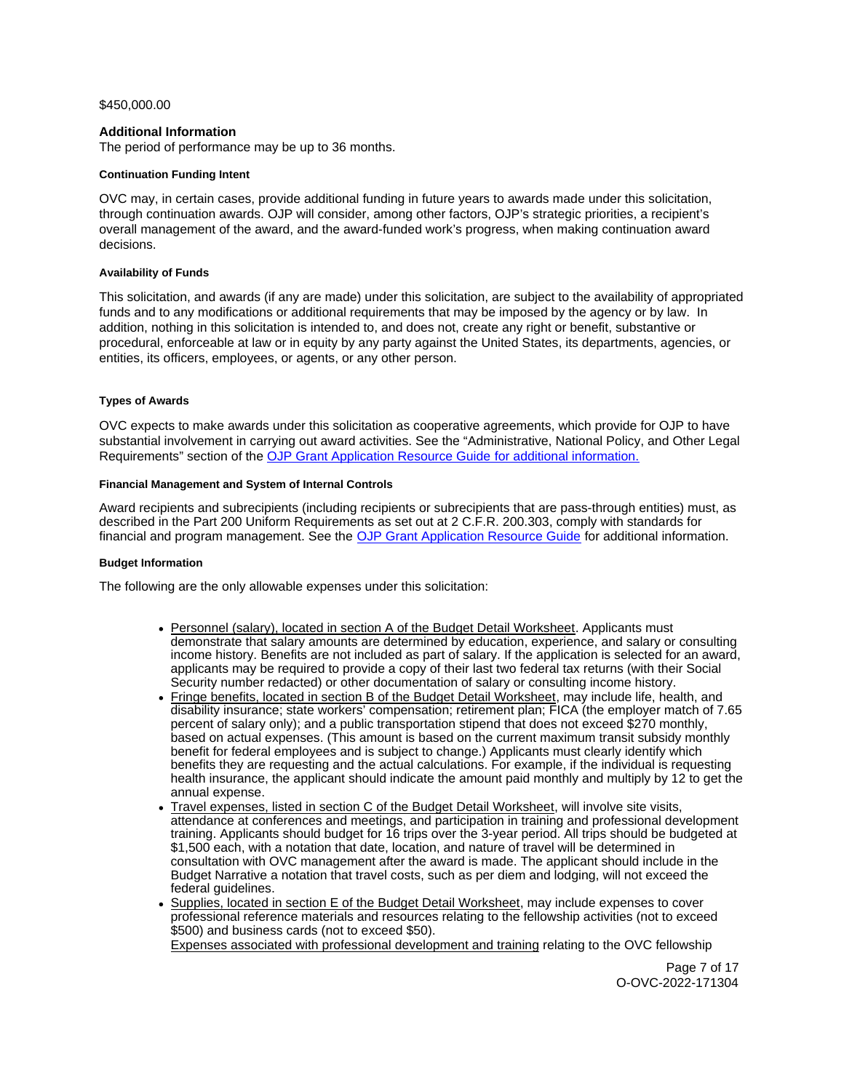# <span id="page-6-0"></span>[\\$450,000.00](https://450,000.00)

# **Additional Information**

The period of performance may be up to 36 months.

# **Continuation Funding Intent**

OVC may, in certain cases, provide additional funding in future years to awards made under this solicitation, through continuation awards. OJP will consider, among other factors, OJP's strategic priorities, a recipient's overall management of the award, and the award-funded work's progress, when making continuation award decisions.

# **Availability of Funds**

This solicitation, and awards (if any are made) under this solicitation, are subject to the availability of appropriated funds and to any modifications or additional requirements that may be imposed by the agency or by law. In addition, nothing in this solicitation is intended to, and does not, create any right or benefit, substantive or procedural, enforceable at law or in equity by any party against the United States, its departments, agencies, or entities, its officers, employees, or agents, or any other person.

# **Types of Awards**

OVC expects to make awards under this solicitation as cooperative agreements, which provide for OJP to have substantial involvement in carrying out award activities. See the "Administrative, National Policy, and Other Legal Requirements" section of the [OJP Grant Application Resource Guide](https://ojp.gov/funding/Apply/Resources/Grant-App-Resource-Guide.htm) for additional information.

# **Financial Management and System of Internal Controls**

Award recipients and subrecipients (including recipients or subrecipients that are pass-through entities) must, as described in the Part 200 Uniform Requirements as set out at 2 C.F.R. 200.303, comply with standards for financial and program management. See the [OJP Grant Application Resource Guide](https://www.ojp.gov/funding/apply/ojp-grant-application-resource-guide#fm-internal-controls) for additional information.

# **Budget Information**

The following are the only allowable expenses under this solicitation:

- Personnel (salary), located in section A of the Budget Detail Worksheet. Applicants must demonstrate that salary amounts are determined by education, experience, and salary or consulting income history. Benefits are not included as part of salary. If the application is selected for an award, applicants may be required to provide a copy of their last two federal tax returns (with their Social Security number redacted) or other documentation of salary or consulting income history.
- Fringe benefits, located in section B of the Budget Detail Worksheet, may include life, health, and disability insurance; state workers' compensation; retirement plan; FICA (the employer match of 7.65 percent of salary only); and a public transportation stipend that does not exceed \$270 monthly, based on actual expenses. (This amount is based on the current maximum transit subsidy monthly benefit for federal employees and is subject to change.) Applicants must clearly identify which benefits they are requesting and the actual calculations. For example, if the individual is requesting health insurance, the applicant should indicate the amount paid monthly and multiply by 12 to get the annual expense.
- Travel expenses, listed in section C of the Budget Detail Worksheet, will involve site visits, attendance at conferences and meetings, and participation in training and professional development training. Applicants should budget for 16 trips over the 3-year period. All trips should be budgeted at \$1,500 each, with a notation that date, location, and nature of travel will be determined in consultation with OVC management after the award is made. The applicant should include in the Budget Narrative a notation that travel costs, such as per diem and lodging, will not exceed the federal guidelines.
- Supplies, located in section E of the Budget Detail Worksheet, may include expenses to cover professional reference materials and resources relating to the fellowship activities (not to exceed \$500) and business cards (not to exceed \$50). Expenses associated with professional development and training relating to the OVC fellowship

Page 7 of 17 O-OVC-2022-171304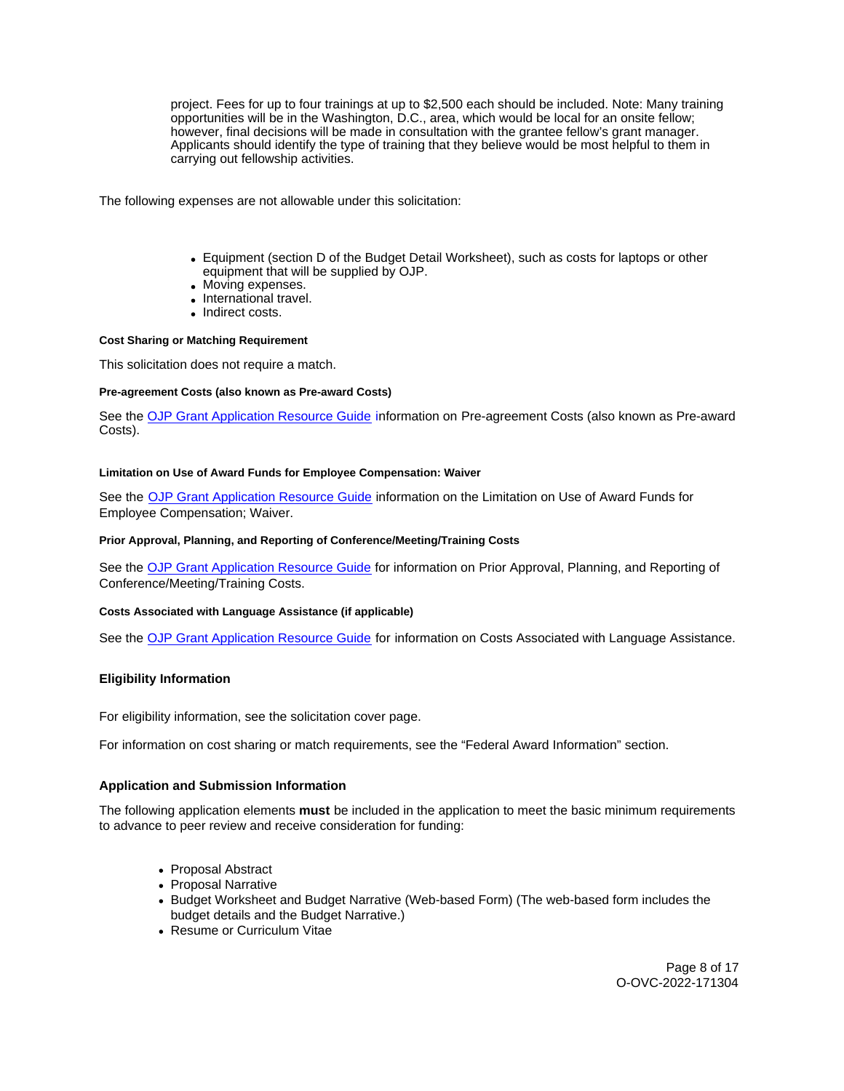<span id="page-7-0"></span>project. Fees for up to four trainings at up to \$2,500 each should be included. Note: Many training opportunities will be in the Washington, D.C., area, which would be local for an onsite fellow; however, final decisions will be made in consultation with the grantee fellow's grant manager. Applicants should identify the type of training that they believe would be most helpful to them in carrying out fellowship activities.

The following expenses are not allowable under this solicitation:

- Equipment (section D of the Budget Detail Worksheet), such as costs for laptops or other equipment that will be supplied by OJP.
- Moving expenses.
- International travel.
- Indirect costs.

### **Cost Sharing or Matching Requirement**

This solicitation does not require a match.

# **Pre-agreement Costs (also known as Pre-award Costs)**

See the [OJP Grant Application Resource Guide](https://www.ojp.gov/funding/apply/ojp-grant-application-resource-guide#pre-agreement-costs) information on Pre-agreement Costs (also known as Pre-award Costs).

# **Limitation on Use of Award Funds for Employee Compensation: Waiver**

See the [OJP Grant Application Resource Guide](https://www.ojp.gov/funding/apply/ojp-grant-application-resource-guide#limitation-use-award) information on the Limitation on Use of Award Funds for Employee Compensation; Waiver.

# **Prior Approval, Planning, and Reporting of Conference/Meeting/Training Costs**

See the [OJP Grant Application Resource Guide](https://www.ojp.gov/funding/apply/ojp-grant-application-resource-guide#prior-approval) for information on Prior Approval, Planning, and Reporting of Conference/Meeting/Training Costs.

### **Costs Associated with Language Assistance (if applicable)**

See the [OJP Grant Application Resource Guide](https://www.ojp.gov/funding/apply/ojp-grant-application-resource-guide#costs-associated) for information on Costs Associated with Language Assistance.

# **Eligibility Information**

For eligibility information, see the solicitation cover page.

For information on cost sharing or match requirements, see the "Federal Award Information" section.

# **Application and Submission Information**

The following application elements **must** be included in the application to meet the basic minimum requirements to advance to peer review and receive consideration for funding:

- Proposal Abstract
- Proposal Narrative
- Budget Worksheet and Budget Narrative (Web-based Form) (The web-based form includes the budget details and the Budget Narrative.)
- Resume or Curriculum Vitae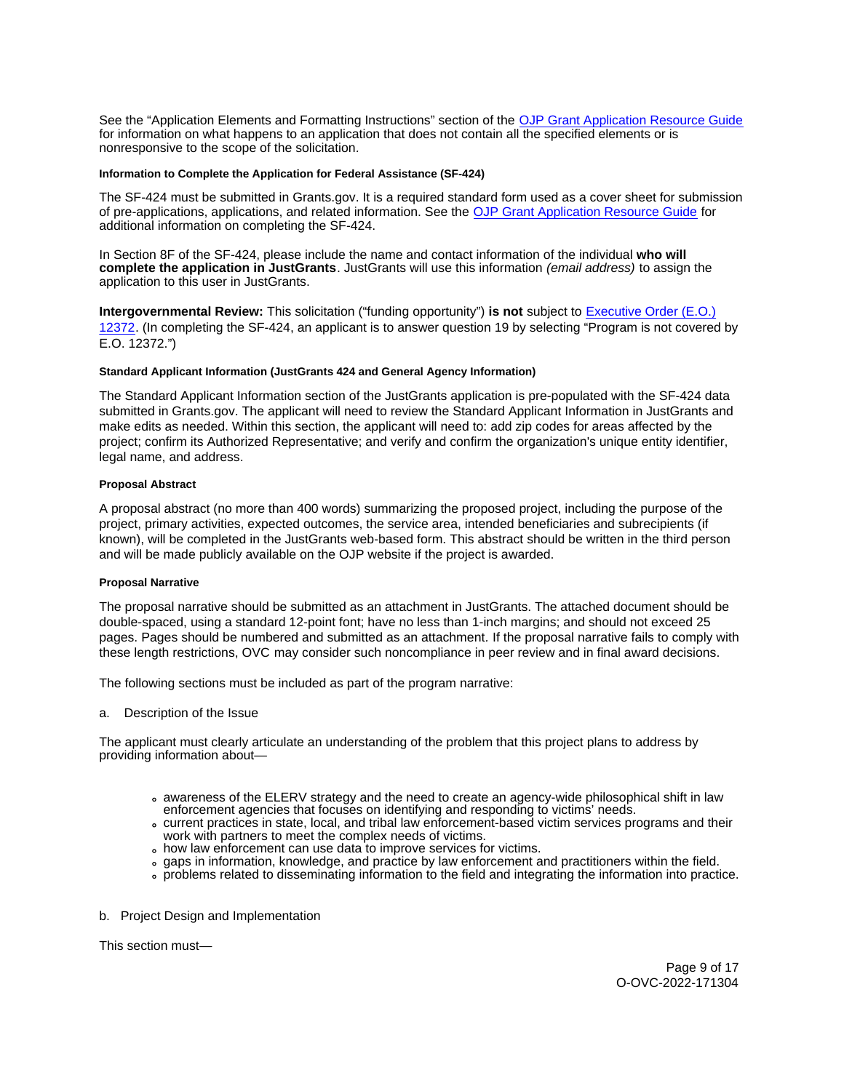<span id="page-8-0"></span>See the "Application Elements and Formatting Instructions" section of the [OJP Grant Application Resource Guide](https://ojp.gov/funding/Apply/Resources/Grant-App-Resource-Guide.htm)  for information on what happens to an application that does not contain all the specified elements or is nonresponsive to the scope of the solicitation.

### **Information to Complete the Application for Federal Assistance (SF-424)**

The SF-424 must be submitted in [Grants.gov](https://Grants.gov). It is a required standard form used as a cover sheet for submission of pre-applications, applications, and related information. See the [OJP Grant Application Resource Guide](https://www.ojp.gov/funding/Apply/Resources/Grant-App-Resource-Guide.htm) for additional information on completing the SF-424.

In Section 8F of the SF-424, please include the name and contact information of the individual **who will complete the application in JustGrants**. JustGrants will use this information (email address) to assign the application to this user in JustGrants.

**Intergovernmental Review:** This solicitation ("funding opportunity") **is not** subject to [Executive Order \(E.O.\)](https://www.archives.gov/federal-register/codification/executive-order/12372.html)  [12372.](https://www.archives.gov/federal-register/codification/executive-order/12372.html) (In completing the SF-424, an applicant is to answer question 19 by selecting "Program is not covered by E.O. 12372.")

# **Standard Applicant Information (JustGrants 424 and General Agency Information)**

The Standard Applicant Information section of the JustGrants application is pre-populated with the SF-424 data submitted in [Grants.gov.](https://Grants.gov) The applicant will need to review the Standard Applicant Information in JustGrants and make edits as needed. Within this section, the applicant will need to: add zip codes for areas affected by the project; confirm its Authorized Representative; and verify and confirm the organization's unique entity identifier, legal name, and address.

# **Proposal Abstract**

A proposal abstract (no more than 400 words) summarizing the proposed project, including the purpose of the project, primary activities, expected outcomes, the service area, intended beneficiaries and subrecipients (if known), will be completed in the JustGrants web-based form. This abstract should be written in the third person and will be made publicly available on the OJP website if the project is awarded.

### **Proposal Narrative**

The proposal narrative should be submitted as an attachment in JustGrants. The attached document should be double-spaced, using a standard 12-point font; have no less than 1-inch margins; and should not exceed 25 pages. Pages should be numbered and submitted as an attachment. If the proposal narrative fails to comply with these length restrictions, OVC may consider such noncompliance in peer review and in final award decisions.

The following sections must be included as part of the program narrative:

a. Description of the Issue

The applicant must clearly articulate an understanding of the problem that this project plans to address by providing information about—

- awareness of the ELERV strategy and the need to create an agency-wide philosophical shift in law enforcement agencies that focuses on identifying and responding to victims' needs.
- current practices in state, local, and tribal law enforcement-based victim services programs and their work with partners to meet the complex needs of victims.
- how law enforcement can use data to improve services for victims.
- gaps in information, knowledge, and practice by law enforcement and practitioners within the field.
- problems related to disseminating information to the field and integrating the information into practice.

b. Project Design and Implementation

This section must—

Page 9 of 17 O-OVC-2022-171304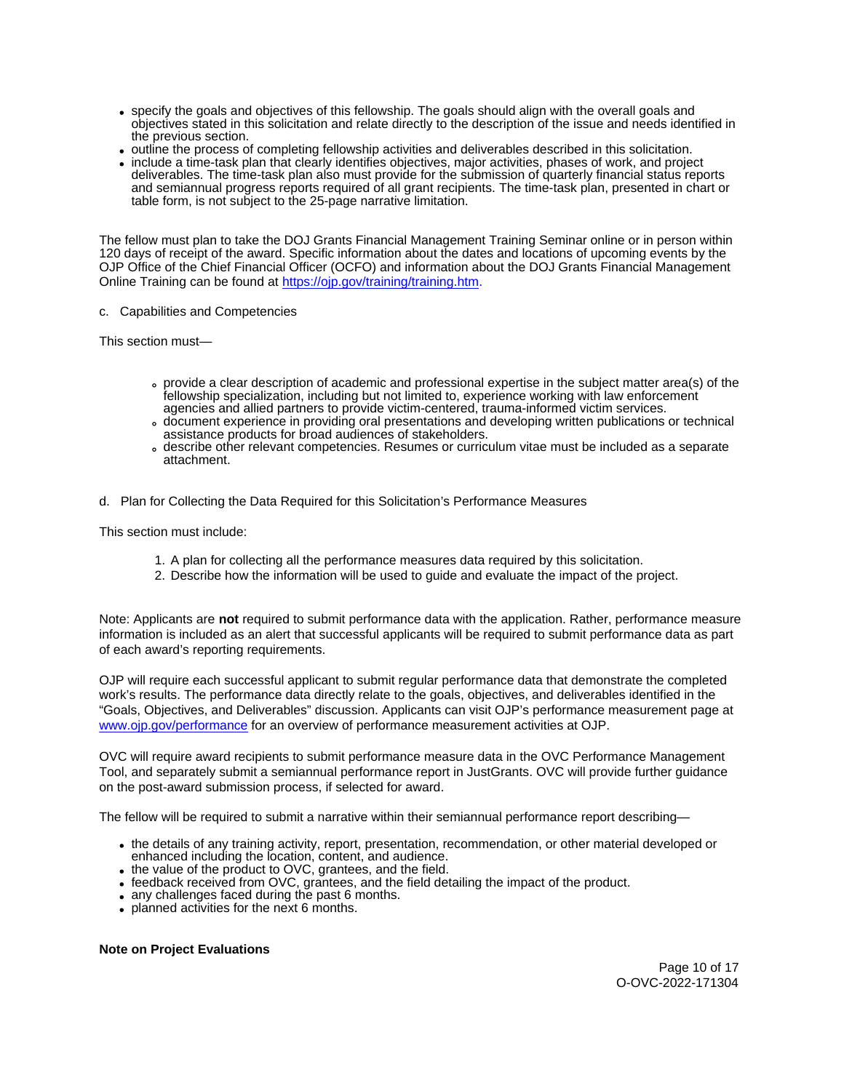- specify the goals and objectives of this fellowship. The goals should align with the overall goals and objectives stated in this solicitation and relate directly to the description of the issue and needs identified in the previous section.
- outline the process of completing fellowship activities and deliverables described in this solicitation.
- include a time-task plan that clearly identifies objectives, major activities, phases of work, and project deliverables. The time-task plan also must provide for the submission of quarterly financial status reports and semiannual progress reports required of all grant recipients. The time-task plan, presented in chart or table form, is not subject to the 25-page narrative limitation.

The fellow must plan to take the DOJ Grants Financial Management Training Seminar online or in person within 120 days of receipt of the award. Specific information about the dates and locations of upcoming events by the OJP Office of the Chief Financial Officer (OCFO) and information about the DOJ Grants Financial Management Online Training can be found at [https://ojp.gov/training/training.htm.](https://ojp.gov/training/training.htm) 

# c. Capabilities and Competencies

This section must—

- provide a clear description of academic and professional expertise in the subject matter area(s) of the fellowship specialization, including but not limited to, experience working with law enforcement agencies and allied partners to provide victim-centered, trauma-informed victim services.
- document experience in providing oral presentations and developing written publications or technical assistance products for broad audiences of stakeholders.
- describe other relevant competencies. Resumes or curriculum vitae must be included as a separate attachment.
- d. Plan for Collecting the Data Required for this Solicitation's Performance Measures

This section must include:

- 1. A plan for collecting all the performance measures data required by this solicitation.
- 2. Describe how the information will be used to guide and evaluate the impact of the project.

Note: Applicants are **not** required to submit performance data with the application. Rather, performance measure information is included as an alert that successful applicants will be required to submit performance data as part of each award's reporting requirements.

OJP will require each successful applicant to submit regular performance data that demonstrate the completed work's results. The performance data directly relate to the goals, objectives, and deliverables identified in the "Goals, Objectives, and Deliverables" discussion. Applicants can visit OJP's performance measurement page at [www.ojp.gov/performance](https://www.ojp.gov/performance) for an overview of performance measurement activities at OJP.

OVC will require award recipients to submit performance measure data in the OVC Performance Management Tool, and separately submit a semiannual performance report in JustGrants. OVC will provide further guidance on the post-award submission process, if selected for award.

The fellow will be required to submit a narrative within their semiannual performance report describing—

- the details of any training activity, report, presentation, recommendation, or other material developed or enhanced including the location, content, and audience.
- the value of the product to OVC, grantees, and the field.
- feedback received from OVC, grantees, and the field detailing the impact of the product.
- any challenges faced during the past 6 months.
- planned activities for the next 6 months.

**Note on Project Evaluations** 

Page 10 of 17 O-OVC-2022-171304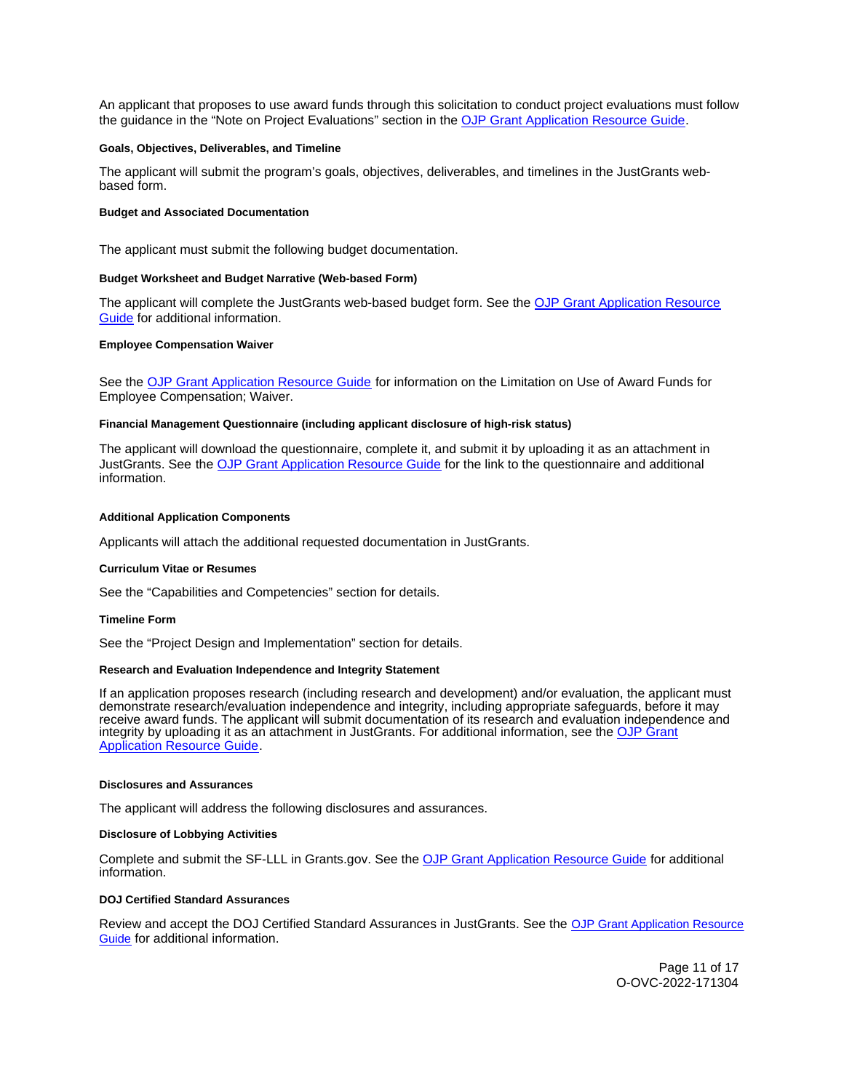<span id="page-10-0"></span>An applicant that proposes to use award funds through this solicitation to conduct project evaluations must follow the guidance in the "Note on Project Evaluations" section in the [OJP Grant Application Resource Guide.](https://www.ojp.gov/funding/Apply/Resources/Grant-App-Resource-Guide.htm)

#### **Goals, Objectives, Deliverables, and Timeline**

The applicant will submit the program's goals, objectives, deliverables, and timelines in the JustGrants webbased form.

#### **Budget and Associated Documentation**

The applicant must submit the following budget documentation.

#### **Budget Worksheet and Budget Narrative (Web-based Form)**

The applicant will complete the JustGrants web-based budget form. See the OJP Grant Application Resource [Guide](https://www.ojp.gov/funding/apply/ojp-grant-application-resource-guide#budget-prep) for additional information.

#### **Employee Compensation Waiver**

See the [OJP Grant Application Resource Guide](https://www.ojp.gov/funding/apply/ojp-grant-application-resource-guide#limitation-use-award) for information on the Limitation on Use of Award Funds for Employee Compensation; Waiver.

#### **Financial Management Questionnaire (including applicant disclosure of high-risk status)**

The applicant will download the questionnaire, complete it, and submit it by uploading it as an attachment in JustGrants. See the [OJP Grant Application Resource Guide](https://www.ojp.gov/funding/apply/ojp-grant-application-resource-guide#fm-internal-controls-questionnaire) for the link to the questionnaire and additional information.

#### **Additional Application Components**

Applicants will attach the additional requested documentation in JustGrants.

#### **Curriculum Vitae or Resumes**

See the "Capabilities and Competencies" section for details.

### **Timeline Form**

See the "Project Design and Implementation" section for details.

#### **Research and Evaluation Independence and Integrity Statement**

If an application proposes research (including research and development) and/or evaluation, the applicant must demonstrate research/evaluation independence and integrity, including appropriate safeguards, before it may receive award funds. The applicant will submit documentation of its research and evaluation independence and integrity by uploading it as an attachment in JustGrants. For additional information, see the [OJP Grant](https://www.ojp.gov/funding/apply/ojp-grant-application-resource-guide#research-evaluation)  [Application Resource Guide.](https://www.ojp.gov/funding/apply/ojp-grant-application-resource-guide#research-evaluation)

#### **Disclosures and Assurances**

The applicant will address the following disclosures and assurances.

#### **Disclosure of Lobbying Activities**

Complete and submit the SF-LLL in [Grants.gov.](https://Grants.gov) See the [OJP Grant Application Resource Guide](https://www.ojp.gov/funding/apply/ojp-grant-application-resource-guide#disclosure-lobby) for additional information.

### **DOJ Certified Standard Assurances**

Review and accept the DOJ Certified Standard Assurances in JustGrants. See the [OJP Grant Application Resource](https://www.ojp.gov/funding/apply/ojp-grant-application-resource-guide#administrative)  [Guide](https://www.ojp.gov/funding/apply/ojp-grant-application-resource-guide#administrative) for additional information.

> Page 11 of 17 O-OVC-2022-171304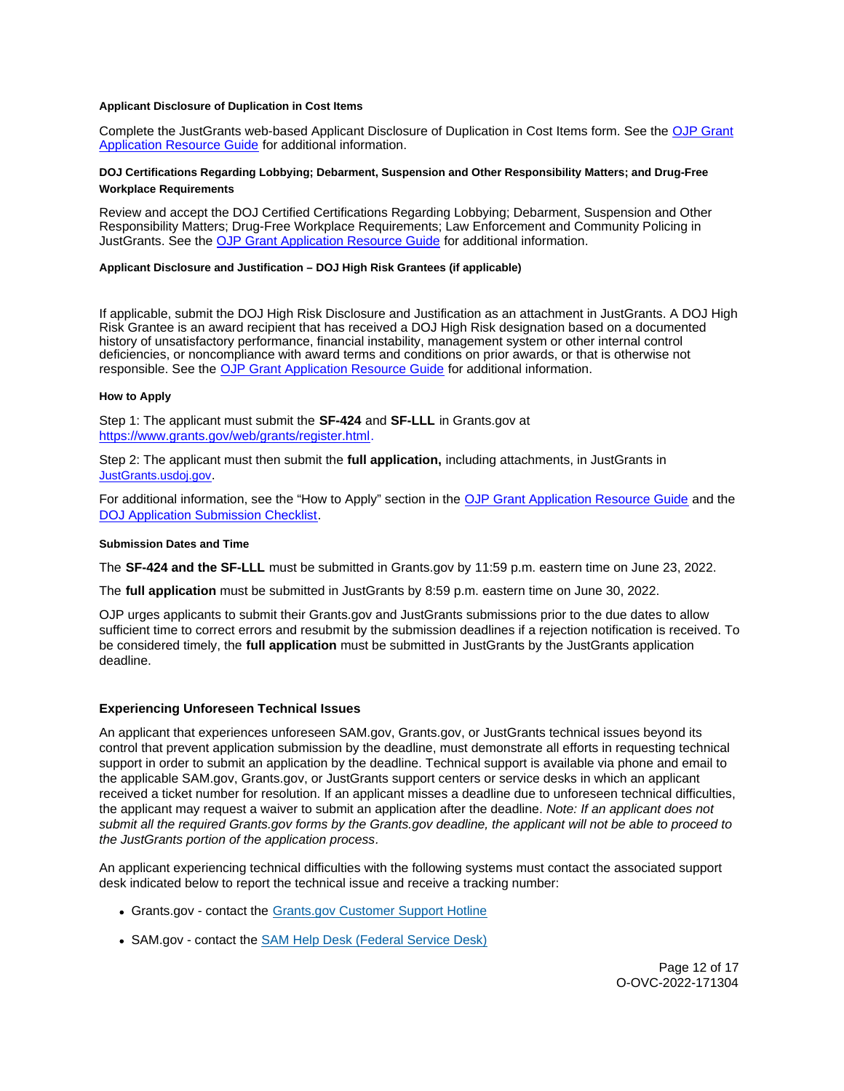### <span id="page-11-0"></span>**Applicant Disclosure of Duplication in Cost Items**

Complete the JustGrants web-based Applicant Disclosure of Duplication in Cost Items form. See the [OJP Grant](https://www.ojp.gov/funding/apply/ojp-grant-application-resource-guide#applicant-disclosure-pending-applications)  [Application Resource Guide](https://www.ojp.gov/funding/apply/ojp-grant-application-resource-guide#applicant-disclosure-pending-applications) for additional information.

# **DOJ Certifications Regarding Lobbying; Debarment, Suspension and Other Responsibility Matters; and Drug-Free Workplace Requirements**

Review and accept the DOJ Certified Certifications Regarding Lobbying; Debarment, Suspension and Other Responsibility Matters; Drug-Free Workplace Requirements; Law Enforcement and Community Policing in JustGrants. See the [OJP Grant Application Resource Guide](https://www.ojp.gov/funding/apply/ojp-grant-application-resource-guide#administrative) for additional information.

# **Applicant Disclosure and Justification – DOJ High Risk Grantees (if applicable)**

If applicable, submit the DOJ High Risk Disclosure and Justification as an attachment in JustGrants. A DOJ High Risk Grantee is an award recipient that has received a DOJ High Risk designation based on a documented history of unsatisfactory performance, financial instability, management system or other internal control deficiencies, or noncompliance with award terms and conditions on prior awards, or that is otherwise not responsible. See the [OJP Grant Application Resource Guide](https://www.ojp.gov/funding/apply/ojp-grant-application-resource-guide) for additional information.

# **How to Apply**

Step 1: The applicant must submit the **SF-424** and **SF-LLL** in [Grants.gov](https://Grants.gov) at [https://www.grants.gov/web/grants/register.html.](https://www.grants.gov/web/grants/register.html)

Step 2: The applicant must then submit the **full application,** including attachments, in JustGrants in [JustGrants.usdoj.gov.](https://justicegrants.usdoj.gov/)

For additional information, see the "How to Apply" section in the [OJP Grant Application Resource Guide](https://www.ojp.gov/funding/apply/ojp-grant-application-resource-guide#apply) and the **[DOJ Application Submission Checklist.](https://justicegrants.usdoj.gov/sites/g/files/xyckuh296/files/media/document/appln-submission-checklist.pdf)** 

### **Submission Dates and Time**

The **SF-424 and the SF-LLL** must be submitted in [Grants.gov](https://Grants.gov) by 11:59 p.m. eastern time on June 23, 2022.

The **full application** must be submitted in JustGrants by 8:59 p.m. eastern time on June 30, 2022.

OJP urges applicants to submit their [Grants.gov](https://Grants.gov) and JustGrants submissions prior to the due dates to allow sufficient time to correct errors and resubmit by the submission deadlines if a rejection notification is received. To be considered timely, the **full application** must be submitted in JustGrants by the JustGrants application deadline.

# **Experiencing Unforeseen Technical Issues**

An applicant that experiences unforeseen SAM.gov, [Grants.gov,](https://Grants.gov) or JustGrants technical issues beyond its control that prevent application submission by the deadline, must demonstrate all efforts in requesting technical support in order to submit an application by the deadline. Technical support is available via phone and email to the applicable SAM.gov, [Grants.gov,](https://Grants.gov) or JustGrants support centers or service desks in which an applicant received a ticket number for resolution. If an applicant misses a deadline due to unforeseen technical difficulties, the applicant may request a waiver to submit an application after the deadline. Note: If an applicant does not submit all the required [Grants.gov](https://Grants.gov) forms by the [Grants.gov](https://Grants.gov) deadline, the applicant will not be able to proceed to the JustGrants portion of the application process.

An applicant experiencing technical difficulties with the following systems must contact the associated support desk indicated below to report the technical issue and receive a tracking number:

- [Grants.gov](https://Grants.gov)  contact the [Grants.gov Customer Support Hotline](https://www.grants.gov/web/grants/support.html)
- SAM.gov contact the [SAM Help Desk \(Federal Service Desk\)](https://www.fsd.gov/gsafsd_sp)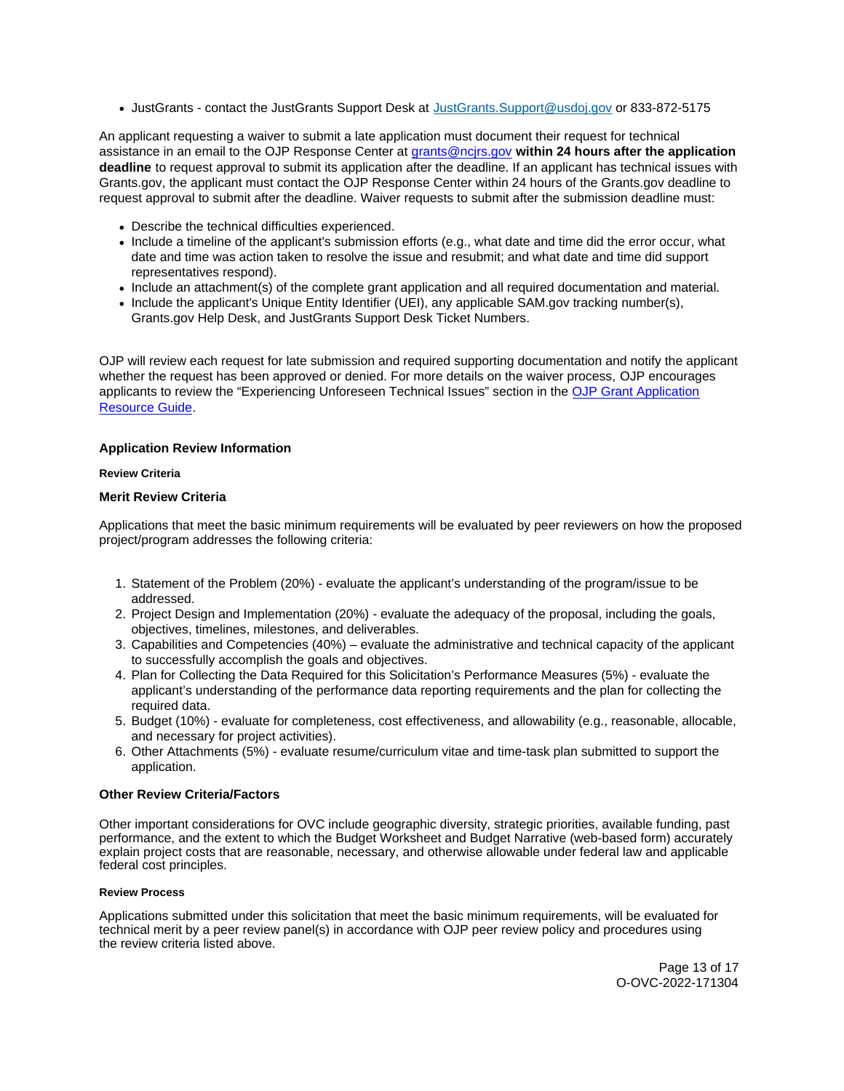<span id="page-12-0"></span>JustGrants - contact the JustGrants Support Desk at [JustGrants.Support@usdoj.gov](mailto:JustGrants.Support@usdoj.gov) or 833-872-5175

An applicant requesting a waiver to submit a late application must document their request for technical assistance in an email to the OJP Response Center at [grants@ncjrs.gov](mailto:grants@ncjrs.gov) **within 24 hours after the application deadline** to request approval to submit its application after the deadline. If an applicant has technical issues with [Grants.gov,](https://Grants.gov) the applicant must contact the OJP Response Center within 24 hours of the [Grants.gov](https://Grants.gov) deadline to request approval to submit after the deadline. Waiver requests to submit after the submission deadline must:

- Describe the technical difficulties experienced.
- Include a timeline of the applicant's submission efforts (e.g., what date and time did the error occur, what date and time was action taken to resolve the issue and resubmit; and what date and time did support representatives respond).
- Include an attachment(s) of the complete grant application and all required documentation and material.
- Include the applicant's Unique Entity Identifier (UEI), any applicable SAM.gov tracking number(s), [Grants.gov](https://Grants.gov) Help Desk, and JustGrants Support Desk Ticket Numbers.

OJP will review each request for late submission and required supporting documentation and notify the applicant whether the request has been approved or denied. For more details on the waiver process, OJP encourages applicants to review the "Experiencing Unforeseen Technical Issues" section in the [OJP Grant Application](https://www.ojp.gov/funding/apply/ojp-grant-application-resource-guide#experiencing-unforeseen-technical-issues)  [Resource Guide.](https://www.ojp.gov/funding/apply/ojp-grant-application-resource-guide#experiencing-unforeseen-technical-issues)

# **Application Review Information**

# **Review Criteria**

# **Merit Review Criteria**

Applications that meet the basic minimum requirements will be evaluated by peer reviewers on how the proposed project/program addresses the following criteria:

- 1. Statement of the Problem (20%) evaluate the applicant's understanding of the program/issue to be addressed.
- 2. Project Design and Implementation (20%) evaluate the adequacy of the proposal, including the goals, objectives, timelines, milestones, and deliverables.
- 3. Capabilities and Competencies (40%) evaluate the administrative and technical capacity of the applicant to successfully accomplish the goals and objectives.
- 4. Plan for Collecting the Data Required for this Solicitation's Performance Measures (5%) evaluate the applicant's understanding of the performance data reporting requirements and the plan for collecting the required data.
- 5. Budget (10%) evaluate for completeness, cost effectiveness, and allowability (e.g., reasonable, allocable, and necessary for project activities).
- 6. Other Attachments (5%) evaluate resume/curriculum vitae and time-task plan submitted to support the application.

# **Other Review Criteria/Factors**

Other important considerations for OVC include geographic diversity, strategic priorities, available funding, past performance, and the extent to which the Budget Worksheet and Budget Narrative (web-based form) accurately explain project costs that are reasonable, necessary, and otherwise allowable under federal law and applicable federal cost principles.

# **Review Process**

Applications submitted under this solicitation that meet the basic minimum requirements, will be evaluated for technical merit by a peer review panel(s) in accordance with OJP peer review policy and procedures using the review criteria listed above.

> Page 13 of 17 O-OVC-2022-171304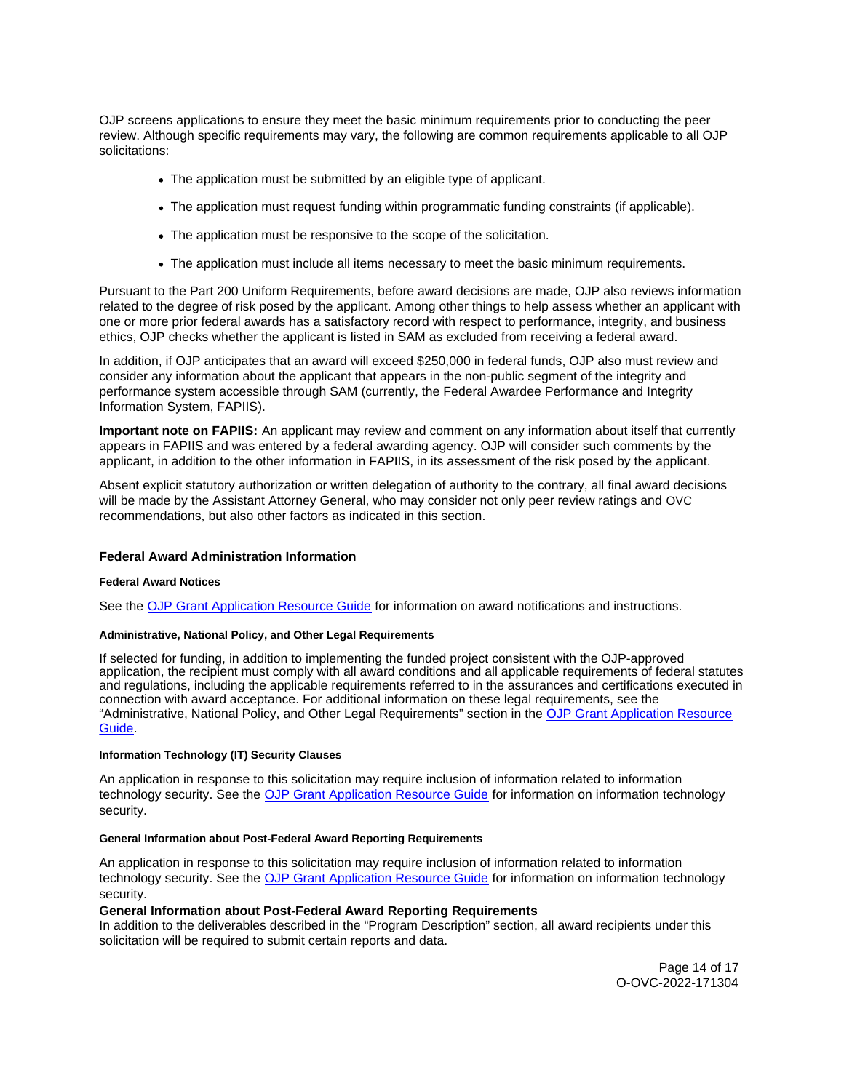<span id="page-13-0"></span>OJP screens applications to ensure they meet the basic minimum requirements prior to conducting the peer review. Although specific requirements may vary, the following are common requirements applicable to all OJP solicitations:

- The application must be submitted by an eligible type of applicant.
- The application must request funding within programmatic funding constraints (if applicable).
- The application must be responsive to the scope of the solicitation.
- The application must include all items necessary to meet the basic minimum requirements.

Pursuant to the Part 200 Uniform Requirements, before award decisions are made, OJP also reviews information related to the degree of risk posed by the applicant. Among other things to help assess whether an applicant with one or more prior federal awards has a satisfactory record with respect to performance, integrity, and business ethics, OJP checks whether the applicant is listed in SAM as excluded from receiving a federal award.

In addition, if OJP anticipates that an award will exceed \$250,000 in federal funds, OJP also must review and consider any information about the applicant that appears in the non-public segment of the integrity and performance system accessible through SAM (currently, the Federal Awardee Performance and Integrity Information System, FAPIIS).

**Important note on FAPIIS:** An applicant may review and comment on any information about itself that currently appears in FAPIIS and was entered by a federal awarding agency. OJP will consider such comments by the applicant, in addition to the other information in FAPIIS, in its assessment of the risk posed by the applicant.

Absent explicit statutory authorization or written delegation of authority to the contrary, all final award decisions will be made by the Assistant Attorney General, who may consider not only peer review ratings and OVC recommendations, but also other factors as indicated in this section.

# **Federal Award Administration Information**

# **Federal Award Notices**

See the [OJP Grant Application Resource Guide](https://www.ojp.gov/funding/apply/ojp-grant-application-resource-guide#federal-award-notices) for information on award notifications and instructions.

# **Administrative, National Policy, and Other Legal Requirements**

If selected for funding, in addition to implementing the funded project consistent with the OJP-approved application, the recipient must comply with all award conditions and all applicable requirements of federal statutes and regulations, including the applicable requirements referred to in the assurances and certifications executed in connection with award acceptance. For additional information on these legal requirements, see the "Administrative, National Policy, and Other Legal Requirements" section in the [OJP Grant Application Resource](https://www.ojp.gov/funding/apply/ojp-grant-application-resource-guide#administrative)  [Guide.](https://www.ojp.gov/funding/apply/ojp-grant-application-resource-guide#administrative)

### **Information Technology (IT) Security Clauses**

An application in response to this solicitation may require inclusion of information related to information technology security. See the [OJP Grant Application Resource Guide](https://www.ojp.gov/funding/apply/ojp-grant-application-resource-guide#information-technology) for information on information technology security.

# **General Information about Post-Federal Award Reporting Requirements**

An application in response to this solicitation may require inclusion of information related to information technology security. See the [OJP Grant Application Resource Guide](https://www.ojp.gov/funding/Apply/Resources/Grant-App-Resource-Guide.htm) for information on information technology security.

# **General Information about Post-Federal Award Reporting Requirements**

In addition to the deliverables described in the "Program Description" section, all award recipients under this solicitation will be required to submit certain reports and data.

> Page 14 of 17 O-OVC-2022-171304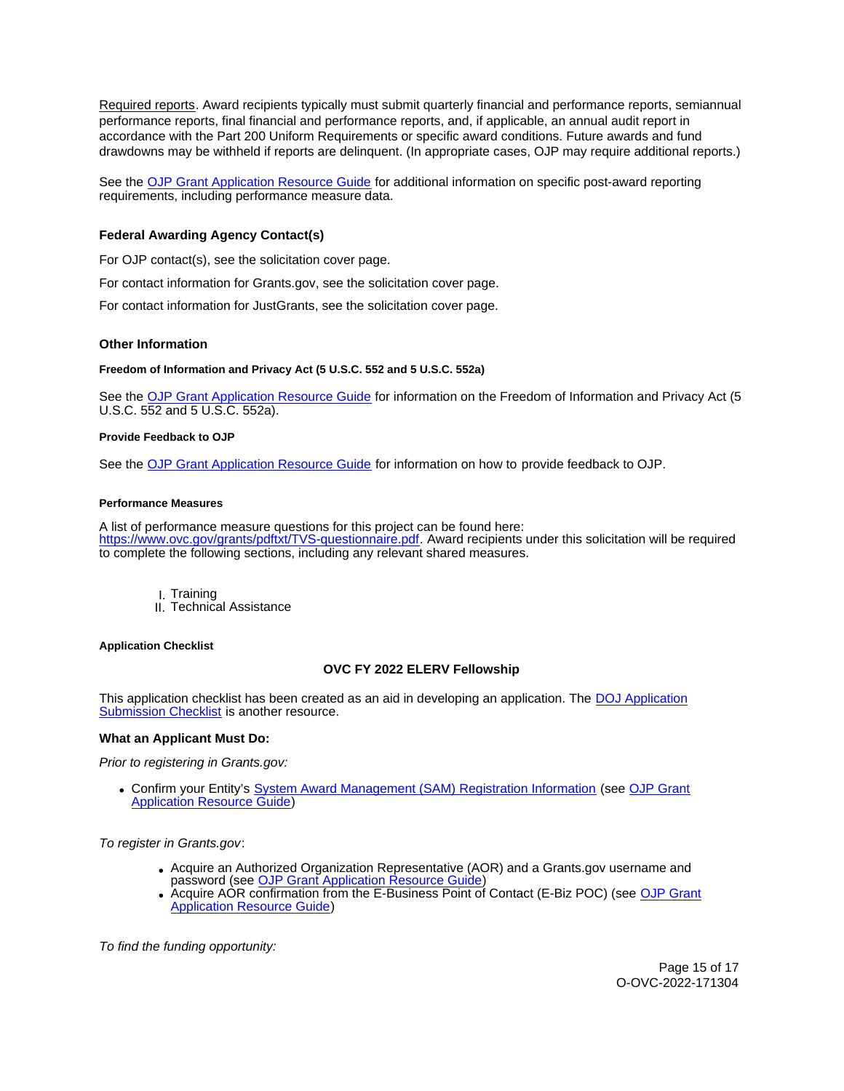<span id="page-14-0"></span>Required reports. Award recipients typically must submit quarterly financial and performance reports, semiannual performance reports, final financial and performance reports, and, if applicable, an annual audit report in accordance with the Part 200 Uniform Requirements or specific award conditions. Future awards and fund drawdowns may be withheld if reports are delinquent. (In appropriate cases, OJP may require additional reports.)

See the [OJP Grant Application Resource Guide](https://www.ojp.gov/funding/Apply/Resources/Grant-App-Resource-Guide.htm) for additional information on specific post-award reporting requirements, including performance measure data.

# **Federal Awarding Agency Contact(s)**

For OJP contact(s), see the solicitation cover page.

For contact information for [Grants.gov](https://Grants.gov), see the solicitation cover page.

For contact information for JustGrants, see the solicitation cover page.

# **Other Information**

### **Freedom of Information and Privacy Act (5 U.S.C. 552 and 5 U.S.C. 552a)**

See the [OJP Grant Application Resource Guide](https://www.ojp.gov/funding/apply/ojp-grant-application-resource-guide#foia) for information on the Freedom of Information and Privacy Act (5 U.S.C. 552 and 5 U.S.C. 552a).

### **Provide Feedback to OJP**

See the [OJP Grant Application Resource Guide](https://www.ojp.gov/funding/apply/ojp-grant-application-resource-guide#feedback) for information on how to provide feedback to OJP.

# **Performance Measures**

A list of performance measure questions for this project can be found here: [https://www.ovc.gov/grants/pdftxt/TVS-questionnaire.pdf.](https://www.ovc.gov/grants/pdftxt/TVS-questionnaire.pdf) Award recipients under this solicitation will be required to complete the following sections, including any relevant shared measures.

- I. Training
- II. Technical Assistance

### **Application Checklist**

# **OVC FY 2022 ELERV Fellowship**

This application checklist has been created as an aid in developing an application. The DOJ Application [Submission Checklist](https://justicegrants.usdoj.gov/sites/g/files/xyckuh296/files/media/document/appln-submission-checklist.pdf) is another resource.

# **What an Applicant Must Do:**

Prior to registering in [Grants.gov](https://Grants.gov):

Confirm your Entity's [System Award Management \(SAM\)](https://sam.gov/SAM/) Registration Information (see [OJP Grant](https://www.ojp.gov/funding/apply/ojp-grant-application-resource-guide#apply)  [Application Resource Guide\)](https://www.ojp.gov/funding/apply/ojp-grant-application-resource-guide#apply)

To register in [Grants.gov](https://Grants.gov):

- Acquire an Authorized Organization Representative (AOR) and a [Grants.gov](https://Grants.gov) username and password (see [OJP Grant Application Resource Guide\)](https://ojp.gov/funding/Apply/Resources/Grant-App-Resource-Guide.htm)
- Acquire AOR confirmation from the E-Business Point of Contact (E-Biz POC) (see [OJP Grant](https://ojp.gov/funding/Apply/Resources/Grant-App-Resource-Guide.htm)  [Application Resource Guide\)](https://ojp.gov/funding/Apply/Resources/Grant-App-Resource-Guide.htm)

To find the funding opportunity: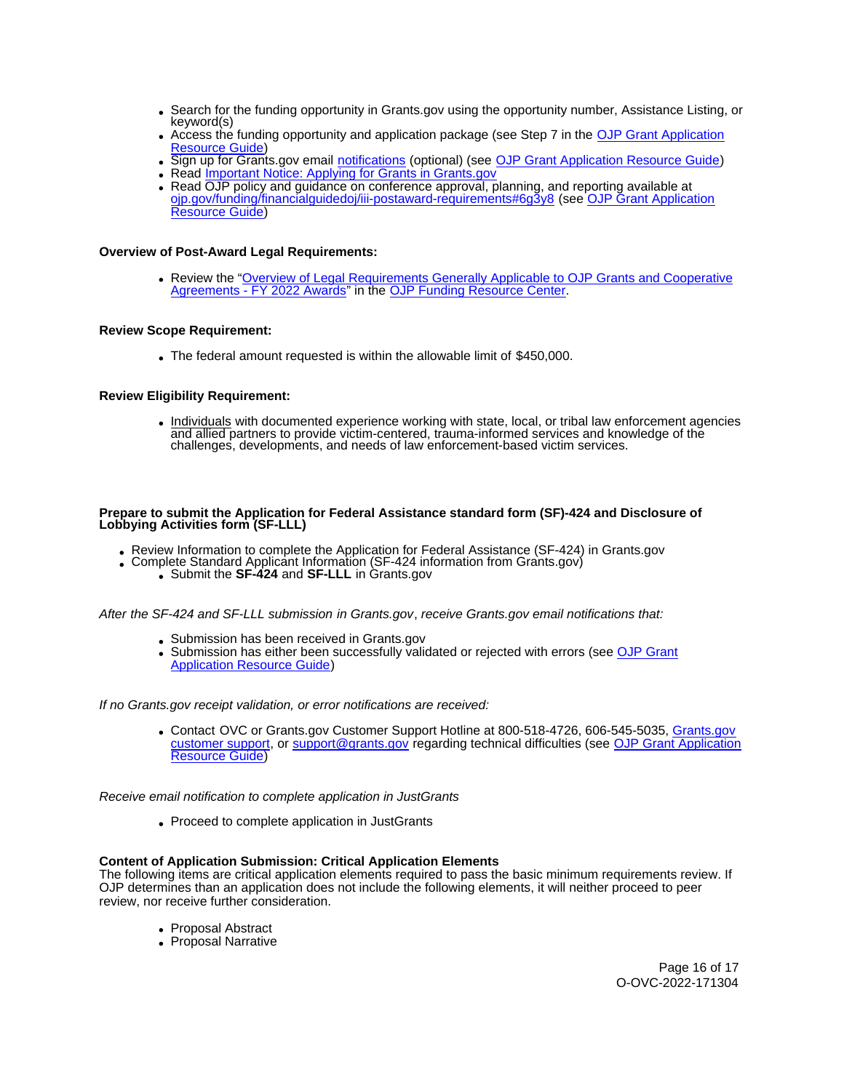- Search for the funding opportunity in [Grants.gov](https://Grants.gov) using the opportunity number, Assistance Listing, or keyword(s)
- Access the funding opportunity and application package (see Step 7 in the [OJP Grant Application](https://ojp.gov/funding/Apply/Resources/Grant-App-Resource-Guide.htm)  [Resource Guide\)](https://ojp.gov/funding/Apply/Resources/Grant-App-Resource-Guide.htm)
- Sign up for [Grants.gov](https://Grants.gov) email [notifications](https://www.grants.gov/web/grants/manage-subscriptions.html) (optional) (see [OJP Grant Application Resource Guide\)](https://ojp.gov/funding/Apply/Resources/Grant-App-Resource-Guide.htm)
- Read *Important Notice: Applying for Grants in Grants.gov*
- Read OJP policy and guidance on conference approval, planning, and reporting available at [ojp.gov/funding/financialguidedoj/iii-postaward-requirements#6g3y8](https://www.ojp.gov/funding/financialguidedoj/iii-postaward-requirements#6g3y8) (see [OJP Grant Application](https://ojp.gov/funding/Apply/Resources/Grant-App-Resource-Guide.htm)  [Resource Guide\)](https://ojp.gov/funding/Apply/Resources/Grant-App-Resource-Guide.htm)

# **Overview of Post-Award Legal Requirements:**

Review the "[Overview of Legal Requirements Generally Applicable to OJP Grants and Cooperative](https://www.ojp.gov/funding/explore/legal-overview-awards)  [Agreements - FY 2022 Awards"](https://www.ojp.gov/funding/explore/legal-overview-awards) in the [OJP Funding Resource Center.](https://www.ojp.gov/funding/index.htm)

# **Review Scope Requirement:**

The federal amount requested is within the allowable limit of \$450,000.

# **Review Eligibility Requirement:**

Individuals with documented experience working with state, local, or tribal law enforcement agencies and allied partners to provide victim-centered, trauma-informed services and knowledge of the challenges, developments, and needs of law enforcement-based victim services.

### **Prepare to submit the Application for Federal Assistance standard form (SF)-424 and Disclosure of Lobbying Activities form (SF-LLL)**

- Review Information to complete the Application for Federal Assistance (SF-424) in [Grants.gov](https://Grants.gov)
	- Complete Standard Applicant Information (SF-424 information from [Grants.gov](https://Grants.gov))<br>Submit the **SF-424** and **SF-LLL** in Grants.gov
		-

After the SF-424 and SF-LLL submission in [Grants.gov](https://Grants.gov), receive [Grants.gov](https://Grants.gov) email notifications that:

- Submission has been received in Grants.gov
- Submission has either been successfully validated or rejected with errors (see OJP Grant [Application Resource Guide\)](https://ojp.gov/funding/Apply/Resources/Grant-App-Resource-Guide.htm)

If no [Grants.gov](https://Grants.gov) receipt validation, or error notifications are received:

Contact OVC or [Grants.gov](https://Grants.gov) Customer Support Hotline at 800-518-4726, 606-545-5035, [Grants.gov](https://www.grants.gov/web/grants/support.html)  [customer support,](https://www.grants.gov/web/grants/support.html) or [support@grants.gov](mailto:support@grants.gov) regarding technical difficulties (see OJP Grant Application [Resource Guide\)](https://ojp.gov/funding/Apply/Resources/Grant-App-Resource-Guide.htm)

Receive email notification to complete application in JustGrants

• Proceed to complete application in JustGrants

# **Content of Application Submission: Critical Application Elements**

The following items are critical application elements required to pass the basic minimum requirements review. If OJP determines than an application does not include the following elements, it will neither proceed to peer review, nor receive further consideration.

- Proposal Abstract
- Proposal Narrative

Page 16 of 17 O-OVC-2022-171304